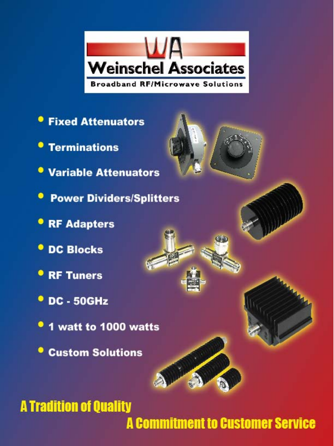

- **Fixed Attenuators**
- **Terminations**
- **Variable Attenuators**
- **Power Dividers/Splitters**
- **RF Adapters**
- **O** DC Blocks
- **RF Tuners**
- **DC 50GHz**
- <sup>o</sup> 1 watt to 1000 watts
- **Custom Solutions**



### **A Tradition of Quality**

**A Commitment to Customer Service**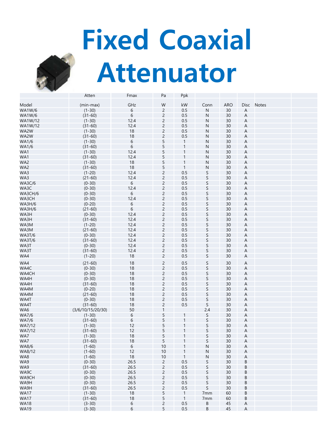# **Fixed Coaxial Attenuator**



|                | Atten                   | Fmax | Pa             | Ppk          |      |            |                        |              |
|----------------|-------------------------|------|----------------|--------------|------|------------|------------------------|--------------|
| Model          |                         | GHz  | W              | kW           |      | <b>ARO</b> |                        |              |
| <b>WA1W/6</b>  | (min-max)<br>$(1 - 30)$ | 6    | $\overline{c}$ | 0.5          | Conn | 30         | Disc<br>$\overline{A}$ | <b>Notes</b> |
|                |                         |      |                |              | N    |            |                        |              |
| <b>WA1W/6</b>  | $(31 - 60)$             | 6    | $\overline{c}$ | 0.5          | N    | 30         | A                      |              |
| <b>WA1W/12</b> | $(1-30)$                | 12.4 | $\overline{c}$ | 0.5          | N    | 30         | A                      |              |
| WA1W/12        | $(31 - 60)$             | 12.4 | $\overline{c}$ | 0.5          | N    | 30         | $\overline{A}$         |              |
| WA2W           | $(1-30)$                | 18   | $\overline{c}$ | 0.5          | Ν    | 30         | A                      |              |
| WA2W           | $(31 - 60)$             | 18   | $\overline{c}$ | 0.5          | Ν    | 30         | A                      |              |
| <b>WA1/6</b>   | $(1-30)$                | 6    | 5              | $\mathbf{1}$ | N    | 30         | $\overline{A}$         |              |
| <b>WA1/6</b>   | $(31 - 60)$             | 6    | 5              | 1            | N    | 30         | $\overline{A}$         |              |
| WA1            | $(1-30)$                | 12.4 | 5              |              | N    | 30         | A                      |              |
| WA1            | $(31 - 60)$             | 12.4 | 5              | 1            | N    | 30         | A                      |              |
| WA2            | $(1-30)$                | 18   | 5              | 1            | N    | 30         | A                      |              |
| WA2            | $(31 - 60)$             | 18   | 5              | 1            | N    | 30         | A                      |              |
| WA3            | $(1 - 20)$              | 12.4 | $\overline{c}$ | 0.5          | S    | 30         | $\overline{A}$         |              |
|                |                         |      |                |              |      |            |                        |              |
| WA3            | $(21 - 60)$             | 12.4 | $\overline{c}$ | 0.5          | S    | 30         | A                      |              |
| <b>WA3C/6</b>  | $(0-30)$                | 6    | $\overline{c}$ | 0.5          | S    | 30         | $\overline{A}$         |              |
| WA3C           | $(0-30)$                | 12.4 | $\overline{c}$ | 0.5          | S    | 30         | A                      |              |
| WA3CH/6        | $(0-30)$                | 6    | $\overline{c}$ | 0.5          | S    | 30         | $\overline{A}$         |              |
| WA3CH          | $(0-30)$                | 12.4 | $\overline{c}$ | 0.5          | S    | 30         | A                      |              |
| <b>WA3H/6</b>  | $(0-20)$                | 6    | $\overline{c}$ | 0.5          | S    | 30         | $\overline{A}$         |              |
| <b>WA3H/6</b>  | $(21 - 60)$             | 6    | $\overline{c}$ | 0.5          | S    | 30         | A                      |              |
| WA3H           | $(0-30)$                | 12.4 | $\overline{c}$ | 0.5          | S    | 30         | A                      |              |
| WA3H           | $(31 - 60)$             | 12.4 | $\overline{c}$ | 0.5          | S    | 30         | A                      |              |
| WA3M           | $(1 - 20)$              | 12.4 | $\overline{c}$ | 0.5          | S    | 30         | A                      |              |
| WA3M           | $(21 - 60)$             | 12.4 | $\overline{c}$ | 0.5          | S    | 30         | $\overline{A}$         |              |
| <b>WA3T/6</b>  | $(0-30)$                | 12.4 | $\overline{c}$ | 0.5          | S    | 30         | A                      |              |
| <b>WA3T/6</b>  | $(31 - 60)$             | 12.4 | $\overline{c}$ | 0.5          | S    | 30         | $\overline{A}$         |              |
| WA3T           | $(0-30)$                | 12.4 | $\overline{c}$ | 0.5          | S    | 30         | $\overline{A}$         |              |
| WA3T           |                         | 12.4 | $\overline{c}$ | 0.5          | S    | 30         | A                      |              |
|                | $(31 - 60)$             |      |                |              |      |            |                        |              |
| WA4            | $(1 - 20)$              | 18   | $\overline{c}$ | 0.5          | S    | 30         | A                      |              |
| WA4            | $(21 - 60)$             | 18   | $\overline{c}$ | 0.5          | S    | 30         | $\overline{A}$         |              |
| WA4C           | $(0-30)$                | 18   | $\overline{c}$ | 0.5          | S    | 30         | A                      |              |
| WA4CH          | $(0-30)$                | 18   | $\overline{c}$ | 0.5          | S    | 30         | A                      |              |
| WA4H           | $(0-30)$                | 18   | $\overline{c}$ | 0.5          | S    | 30         | $\overline{A}$         |              |
| WA4H           | $(31 - 60)$             | 18   | $\overline{c}$ | 0.5          | S    | 30         | $\overline{A}$         |              |
| WA4M           | $(0-20)$                | 18   | $\overline{c}$ | 0.5          | S    | 30         | A                      |              |
| WA4M           | $(21 - 60)$             | 18   | $\overline{c}$ | 0.5          | S    | 30         | $\overline{A}$         |              |
| WA4T           | $(0-30)$                | 18   | $\overline{c}$ | 0.5          | S    | 30         | $\overline{A}$         |              |
| WA4T           |                         | 18   | $\overline{c}$ | 0.5          | S    | 30         | $\overline{A}$         |              |
|                | $(31 - 60)$             |      |                |              |      |            |                        |              |
| WA6            | (3/6/10/15/20/30)       | 50   | 1              |              | 2.4  | 30         | A                      |              |
| <b>WA7/6</b>   | $(1 - 30)$              | 6    | 5              | 1            | S    | 30         | A                      |              |
| <b>WA7/6</b>   | $(31 - 60)$             | 6    | 5              | 1            | S    | 30         | A                      |              |
| WA7/12         | $(1 - 30)$              | 12   | 5              |              | S    | 30         | $\overline{A}$         |              |
| WA7/12         | $(31 - 60)$             | 12   | 5              |              | S    | 30         | $\overline{A}$         |              |
| WA7            | $(1 - 30)$              | 18   | 5              |              | S    | 30         | A                      |              |
| WA7            | $(31 - 60)$             | 18   | 5              |              | S    | 30         | A                      |              |
| WA8/6          | $(1 - 60)$              | 6    | 10             |              | N    | 30         | A                      |              |
| WA8/12         | $(1 - 60)$              | 12   | 10             | 1            | N    | 30         | $\overline{A}$         |              |
| WA8            | $(1-60)$                | 18   | 10             | $\mathbf{1}$ | N    | 30         | $\overline{A}$         |              |
| WA9            | $(0-30)$                | 26.5 | $\overline{c}$ | 0.5          | S    | 30         | B                      |              |
| WA9            | $(31 - 60)$             | 26.5 | $\overline{c}$ | 0.5          | S    | 30         | B                      |              |
| WA9C           | $(0-30)$                | 26.5 | $\overline{c}$ | 0.5          | S    | 30         | B                      |              |
| WA9CH          | $(0-30)$                | 26.5 | $\overline{c}$ | 0.5          | S    | 30         | B                      |              |
| WA9H           | $(0-30)$                | 26.5 | $\overline{c}$ | 0.5          | S    | 30         | B                      |              |
| WA9H           |                         | 26.5 | $\overline{c}$ | 0.5          | S    | 30         | B                      |              |
|                | $(31 - 60)$             |      |                |              |      |            |                        |              |
| <b>WA17</b>    | $(1 - 30)$              | 18   | 5              | $\mathbf{1}$ | 7mm  | 60         | B                      |              |
| <b>WA17</b>    | $(31 - 60)$             | 18   | 5              | $\mathbf{1}$ | 7mm  | 60         | B                      |              |
| <b>WA18</b>    | $(3-30)$                | 6    | $\overline{c}$ | 0.5          | B    | 45         | A                      |              |
| <b>WA19</b>    | $(3-30)$                | 6    | 5              | 0.5          | B    | 45         | A                      |              |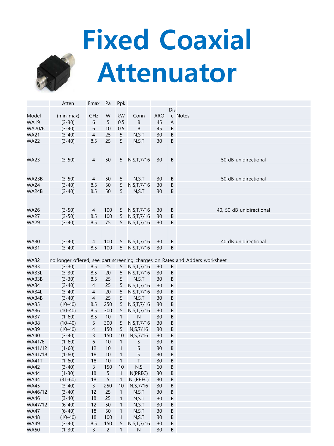

# **Fixed Coaxial Attenuator**

|             | Atten       | Fmax           | Pa             | Ppk          |               |            |         |                                                                             |
|-------------|-------------|----------------|----------------|--------------|---------------|------------|---------|-----------------------------------------------------------------------------|
|             |             |                |                |              |               |            | Dis     |                                                                             |
| Model       | (min-max)   | GHz            | W              | kW           | Conn          | <b>ARO</b> |         | c Notes                                                                     |
| <b>WA19</b> | $(3-30)$    | 6              | 5              | 0.5          | B             | 45         | A       |                                                                             |
| WA20/6      | $(3-40)$    | 6              | 10             | 0.5          | B             | 45         | B       |                                                                             |
| <b>WA21</b> | $(3-40)$    | $\overline{4}$ | 25             | $\sqrt{5}$   | N, S, T       | 30         | B       |                                                                             |
|             |             |                | 25             | 5            |               | 30         | B       |                                                                             |
| <b>WA22</b> | $(3-40)$    | 8.5            |                |              | N, S, T       |            |         |                                                                             |
|             |             |                |                |              |               |            |         |                                                                             |
|             |             |                |                |              |               |            |         |                                                                             |
| <b>WA23</b> | $(3-50)$    | 4              | 50             | 5            | N, S, T, 7/16 | 30         | B       | 50 dB unidirectional                                                        |
|             |             |                |                |              |               |            |         |                                                                             |
|             |             |                |                |              |               |            |         |                                                                             |
| WA23B       | $(3-50)$    | 4              | 50             | 5            | N, S, T       | 30         | B       | 50 dB unidirectional                                                        |
| <b>WA24</b> | $(3-40)$    | 8.5            | 50             | 5            | N, S, T, 7/16 | 30         | B       |                                                                             |
| WA24B       | $(3-40)$    | 8.5            | 50             | 5            | N, S, T       | 30         | B       |                                                                             |
|             |             |                |                |              |               |            |         |                                                                             |
|             |             |                |                |              |               |            |         |                                                                             |
| <b>WA26</b> | $(3-50)$    | 4              | 100            | 5            | N, S, T, 7/16 | 30         | $\sf B$ | 40, 50 dB unidirectional                                                    |
| <b>WA27</b> | $(3-50)$    | 8.5            | 100            | 5            | N, S, T, 7/16 | 30         | B       |                                                                             |
| <b>WA29</b> | $(3-40)$    | 8.5            | 75             | 5            | N, S, T, 7/16 | 30         | B       |                                                                             |
|             |             |                |                |              |               |            |         |                                                                             |
|             |             |                |                |              |               |            |         |                                                                             |
| <b>WA30</b> | $(3-40)$    | 4              | 100            | 5            | N, S, T, 7/16 | 30         | $\sf B$ | 40 dB unidirectional                                                        |
| <b>WA31</b> | $(3-40)$    | 8.5            | 100            | 5            | N, S, T, 7/16 | 30         | B       |                                                                             |
|             |             |                |                |              |               |            |         |                                                                             |
| <b>WA32</b> |             |                |                |              |               |            |         | no longer offered, see part screening charges on Rates and Adders worksheet |
| <b>WA33</b> |             | 8.5            |                |              |               | 30         |         |                                                                             |
|             | $(3-30)$    |                | 25             | 5            | N, S, T, 7/16 |            | B       |                                                                             |
| WA33L       | $(3-30)$    | 8.5            | 20             | $\sqrt{5}$   | N, S, T, 7/16 | 30         | B       |                                                                             |
| WA33B       | $(3-30)$    | 8.5            | 25             | $\sqrt{5}$   | N, S, T       | 30         | B       |                                                                             |
| <b>WA34</b> | $(3-40)$    | 4              | 25             | 5            | N, S, T, 7/16 | 30         | B       |                                                                             |
| WA34L       | $(3-40)$    | $\overline{4}$ | 20             | $\sqrt{5}$   | N, S, T, 7/16 | 30         | B       |                                                                             |
| WA34B       | $(3-40)$    | $\overline{4}$ | 25             | 5            | N, S, T       | 30         | B       |                                                                             |
| <b>WA35</b> | $(10-40)$   | 8.5            | 250            | 5            | N, S, T, 7/16 | 30         | B       |                                                                             |
| <b>WA36</b> | $(10-40)$   | 8.5            | 300            | 5            | N, S, T, 7/16 | 30         | B       |                                                                             |
| <b>WA37</b> | $(1-60)$    | 8.5            | 10             | $\mathbf{1}$ | $\mathsf{N}$  | 30         | B       |                                                                             |
| <b>WA38</b> | $(10-40)$   | 5              | 300            | 5            | N, S, T, 7/16 | 30         | B       |                                                                             |
| <b>WA39</b> | $(10-40)$   | $\overline{4}$ | 150            | 5            | N, S, 7/16    | 30         | B       |                                                                             |
| <b>WA40</b> | $(3-40)$    | 3              | 150            | 10           | N, S, 7/16    | 30         | B       |                                                                             |
| WA41/6      | $(1-60)$    | $\,6\,$        | 10             | $\mathbf{1}$ | S             | 30         | B       |                                                                             |
| WA41/12     | $(1-60)$    | 12             | 10             | $\mathbf{1}$ | S             | 30         | B       |                                                                             |
| WA41/18     | $(1-60)$    | 18             | 10             | $\mathbf{1}$ | S             | 30         | B       |                                                                             |
| WA41T       | $(1-60)$    | 18             | 10             | $\mathbf{1}$ | T             | 30         | B       |                                                                             |
| <b>WA42</b> | $(3-40)$    | 3              | 150            | 10           | N, S          | 60         | B       |                                                                             |
| <b>WA44</b> | $(1-30)$    | 18             | 5              | $\mathbf{1}$ | N(PREC)       | 30         | B       |                                                                             |
| WA44        | $(31 - 60)$ | 18             | 5              | 1            | N (PREC)      | 30         | Β       |                                                                             |
| <b>WA45</b> | $(3-40)$    | 3              | 250            | 10           | N, S, 7/16    | 30         | B       |                                                                             |
| WA46/12     | $(3-40)$    | 12             | 25             | $\mathbf{1}$ | N, S, T       | 30         | B       |                                                                             |
| <b>WA46</b> | $(3-40)$    | 18             | 25             |              | N, S, T       | 30         | B       |                                                                             |
|             |             |                |                | 1            |               |            |         |                                                                             |
| WA47/12     | $(6-40)$    | 12             | 50             | 1            | N, S, T       | 30         | B       |                                                                             |
| <b>WA47</b> | $(6-40)$    | 18             | 50             | 1            | N, S, T       | 30         | B       |                                                                             |
| <b>WA48</b> | $(10-40)$   | 18             | 100            | 1            | N, S, T       | 30         | B       |                                                                             |
| <b>WA49</b> | $(3-40)$    | 8.5            | 150            | 5            | N, S, T, 7/16 | 30         | B       |                                                                             |
| <b>WA50</b> | $(1-30)$    | $\mathsf{3}$   | $\overline{c}$ | $\mathbf{1}$ | ${\sf N}$     | $30\,$     | B       |                                                                             |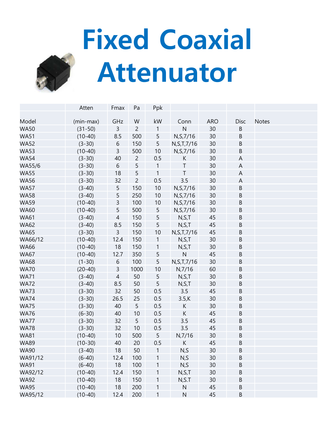# **Fixed Coaxial Attenuator**

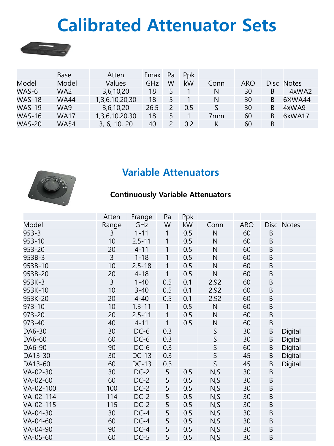## **Calibrated Attenuator Sets**

|               | Base            | Atten          | <b>Fmax</b> | Pa | Ppk |      |            |       |              |
|---------------|-----------------|----------------|-------------|----|-----|------|------------|-------|--------------|
| Model         | Model           | Values         | GHz.        | W  | kW  | Conn | <b>ARO</b> | Disc. | <b>Notes</b> |
| WAS-6         | WA <sub>2</sub> | 3,6,10,20      | 18          | 5  |     | N    | 30         | B     | 4xWA2        |
| <b>WAS-18</b> | <b>WA44</b>     | 1,3,6,10,20,30 | 18          | 5  |     | N    | 30         | B     | 6XWA44       |
| <b>WAS-19</b> | WA9             | 3,6,10,20      | 26.5        |    | 0.5 | S.   | 30         | B     | 4xWA9        |
| <b>WAS-16</b> | <b>WA17</b>     | 1,3,6,10,20,30 | 18          | 5  |     | 7mm  | 60         | B     | 6xWA17       |
| <b>WAS-20</b> | <b>WA54</b>     | 3, 6, 10, 20   | 40          |    | 0.2 | K    | 60         | B     |              |

#### **Variable Attenuators**



#### **Continuously Variable Attenuators**

|           | Atten          | Frange       | Pa           | Ppk |              |            |             |            |
|-----------|----------------|--------------|--------------|-----|--------------|------------|-------------|------------|
| Model     | Range          | GHz          | W            | kW  | Conn         | <b>ARO</b> |             | Disc Notes |
| $953 - 3$ | $\overline{3}$ | $1 - 11$     | $\mathbf{1}$ | 0.5 | $\mathsf{N}$ | 60         | $\mathsf B$ |            |
| 953-10    | 10             | $2.5 - 11$   | $\mathbf{1}$ | 0.5 | $\mathsf{N}$ | 60         | $\sf B$     |            |
| 953-20    | 20             | $4 - 11$     | $\mathbf{1}$ | 0.5 | $\mathsf{N}$ | 60         | $\mathsf B$ |            |
| 953B-3    | $\overline{3}$ | $1 - 18$     | $\mathbf{1}$ | 0.5 | $\mathsf{N}$ | 60         | $\sf B$     |            |
| 953B-10   | 10             | $2.5 - 18$   | $\mathbf{1}$ | 0.5 | $\mathsf{N}$ | 60         | $\sf B$     |            |
| 953B-20   | 20             | $4 - 18$     | $\mathbf{1}$ | 0.5 | $\mathsf{N}$ | 60         | $\sf B$     |            |
| 953K-3    | $\overline{3}$ | $1 - 40$     | 0.5          | 0.1 | 2.92         | 60         | $\sf B$     |            |
| 953K-10   | 10             | $3 - 40$     | 0.5          | 0.1 | 2.92         | 60         | $\sf B$     |            |
| 953K-20   | 20             | $4 - 40$     | 0.5          | 0.1 | 2.92         | 60         | $\sf B$     |            |
| 973-10    | 10             | $1.3 - 11$   | $\mathbf{1}$ | 0.5 | $\mathsf{N}$ | 60         | $\sf B$     |            |
| 973-20    | 20             | $2.5 - 11$   | $\mathbf{1}$ | 0.5 | $\mathsf{N}$ | 60         | $\sf B$     |            |
| 973-40    | 40             | $4 - 11$     | $\mathbf{1}$ | 0.5 | $\mathsf{N}$ | 60         | $\sf B$     |            |
| DA6-30    | 30             | $DC-6$       | 0.3          |     | S            | 30         | $\sf B$     | Digital    |
| DA6-60    | 60             | $DC-6$       | 0.3          |     | $\mathsf S$  | 30         | B           | Digital    |
| DA6-90    | 90             | $DC-6$       | 0.3          |     | $\mathsf S$  | 60         | $\sf B$     | Digital    |
| DA13-30   | 30             | <b>DC-13</b> | 0.3          |     | $\mathsf S$  | 45         | $\sf B$     | Digital    |
| DA13-60   | 60             | $DC-13$      | 0.3          |     | $\mathsf S$  | 45         | $\sf B$     | Digital    |
| VA-02-30  | 30             | $DC-2$       | 5            | 0.5 | N, S         | 30         | $\sf B$     |            |
| VA-02-60  | 60             | $DC-2$       | 5            | 0.5 | N, S         | 30         | $\sf B$     |            |
| VA-02-100 | 100            | $DC-2$       | 5            | 0.5 | N, S         | 30         | $\sf B$     |            |
| VA-02-114 | 114            | $DC-2$       | 5            | 0.5 | N, S         | 30         | $\sf B$     |            |
| VA-02-115 | 115            | $DC-2$       | 5            | 0.5 | N, S         | 30         | $\sf B$     |            |
| VA-04-30  | 30             | $DC-4$       | 5            | 0.5 | N, S         | 30         | $\sf B$     |            |
| VA-04-60  | 60             | $DC-4$       | 5            | 0.5 | N, S         | 30         | $\sf B$     |            |
| VA-04-90  | 90             | $DC-4$       | 5            | 0.5 | N, S         | 30         | $\sf B$     |            |
| VA-05-60  | 60             | $DC-5$       | 5            | 0.5 | N, S         | 30         | $\mathsf B$ |            |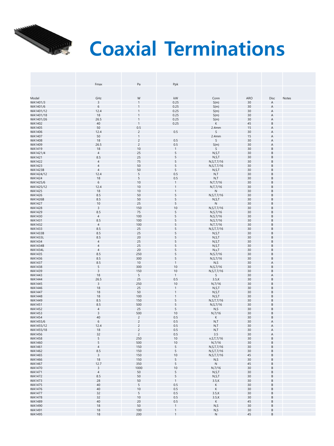

# *Coaxial Terminations*

|                                  | Fmax                  | Pa                       | Ppk                         |                                  |                                |                                    |       |
|----------------------------------|-----------------------|--------------------------|-----------------------------|----------------------------------|--------------------------------|------------------------------------|-------|
|                                  |                       |                          |                             |                                  |                                |                                    |       |
|                                  |                       |                          |                             |                                  |                                |                                    |       |
| Model                            | GHz                   | W                        | $\mathsf{k}\mathsf{W}$      | Conn                             | ARO                            | Disc                               | Notes |
| WA1401/3<br>WA1401/6             | 3<br>6                |                          | 0.25<br>0.25                | S(m)<br>S(m)                     | 30<br>30                       | Α<br>A                             |       |
| WA1401/12                        | 12.4                  |                          | 0.25                        | S(m)                             | 30                             | A                                  |       |
| WA1401/18                        | 18                    |                          | 0.25                        | S(m)                             | 30                             | A                                  |       |
| WA1401/26                        | 26.5                  |                          | 0.25                        | S(m)                             | 30                             | A                                  |       |
| WA1402                           | 40                    | 1                        | 0.25                        | К                                | 45                             | <sub>R</sub>                       |       |
| WA1405<br>WA1406                 | 50<br>12.4            | 0.5<br>$\overline{c}$    | 0.5                         | 2.4 <sub>mm</sub><br>$\mathsf S$ | 15<br>30                       | A<br>A                             |       |
| WA1407                           | 50                    |                          |                             | 2.4 <sub>mm</sub>                | 15                             | A                                  |       |
| WA1408                           | 18                    | $\overline{\phantom{a}}$ | 0.5                         | S                                | 30                             | A                                  |       |
| WA1409                           | 26.5                  | $\overline{c}$           | 0.5                         | S(m)                             | 30                             |                                    |       |
| WA1419                           | 18                    | 10                       | $\mathbf{1}$                | S                                | 30                             | B                                  |       |
| WA1421/4<br>WA1421               | $\overline{4}$<br>8.5 | 25<br>25                 | 5<br>5                      | N, S, T<br>N, S, T               | 30<br>30                       | B<br>B                             |       |
| WA1422                           | $\overline{4}$        | 75                       | 5                           | N, S, T, 7/16                    | 30                             | B                                  |       |
| WA1423                           | $\sqrt{4}$            | 50                       | 5                           | N, S, T, 7/16                    | 30                             | B                                  |       |
| <b>WA1423B</b>                   | $\overline{4}$        | 50                       | 5                           | N, S, T                          | 30                             | R                                  |       |
| WA1424/12                        | 12.4                  | 5                        | 0.5                         | N, T                             | 30                             | R                                  |       |
| WA1424<br>WA1425/6               | 18<br>6               | 5<br>10                  | 0.5<br>$\mathbf{1}$         | N, T<br>N, T, 7/16               | 30<br>30                       | B<br>B                             |       |
| WA1425/12                        | 12.4                  | 10                       | $\overline{1}$              | N, T, 7/16                       | 30                             | B                                  |       |
| WA1425                           | 18                    | 10                       |                             | N                                | 30                             | B                                  |       |
| WA1426                           | 8.5                   | 50                       | 5                           | N, S, T, 7/16                    | 30                             | R                                  |       |
| <b>WA1426B</b>                   | 8.5<br>10             | 50<br>25                 | 5<br>5                      | N, S, T                          | 30<br>30                       | B<br>R                             |       |
| WA1427<br>WA1428                 | 3                     | 150                      | 10                          | $\mathsf N$<br>N, S, T, 7/16     | 30                             |                                    |       |
| WA1429                           | 8.5                   | 75                       | 5                           | N, S, 7/16                       | 30                             | B                                  |       |
| WA1430                           | $\overline{4}$        | 100                      | 5                           | N, S, 7/16                       | 30                             | <sub>R</sub>                       |       |
| WA1431                           | 8.5                   | 100                      | 5                           | N, S, 7/16                       | 30                             | B                                  |       |
| WA1432<br>WA1433                 | $\overline{4}$<br>8.5 | 100<br>25                | 5<br>5                      | N, T, 7/16<br>N, S, T, 7/16      | 30<br>30                       | B<br>B                             |       |
| <b>WA1433B</b>                   | 8.5                   | 25                       | 5                           | N, S, T                          | 30                             | B                                  |       |
| <b>WA1433L</b>                   | 8.5                   | 20                       |                             | N, S, T                          | 30                             |                                    |       |
| WA1434                           | $\overline{4}$        | 25                       | 5                           | N, S, T                          | 30                             | R                                  |       |
| <b>WA1434B</b><br><b>WA1434L</b> | $\overline{4}$        | 25<br>20                 | 5<br>5                      | N, S, T                          | 30<br>30                       | B<br>B                             |       |
| WA1435                           | $\overline{4}$<br>8.5 | 250                      | 5                           | N, s, T<br>N, S, 7/16            | 30                             | B                                  |       |
| WA1436                           | 8.5                   | 300                      | 5                           | N, S, 7/16                       | 30                             | B                                  |       |
| WA1437                           | 8.5                   | 10                       | 1                           | N, S                             | 30                             | Α                                  |       |
| WA1438                           | 5                     | 300                      | 10                          | N, S, 7/16                       | 30                             | R                                  |       |
| WA1439<br>WA1443                 | 3<br>18               | 150<br>5                 | 10<br>$\mathbf{1}$          | N, S, T, 7/16<br>S               | 30<br>30                       | Α                                  |       |
| WA1444                           | 26.5                  | 25                       | 0.5                         | $3.5$ , K                        | 30                             | B                                  |       |
| WA1445                           | $\mathbf{3}$          | 250                      | 10                          | N,7/16                           | 30                             | B                                  |       |
| WA1446                           | 18                    | 25                       | $\mathbf{1}$                | N, S, T                          | 30                             | B                                  |       |
| <b>WA1447</b><br><b>WA1448</b>   | 18<br>18              | 50<br>100                |                             | N, S, T<br>N, S, T               | 30<br>30                       | R<br>R                             |       |
| WA1449                           | 8.5                   | 150                      | 5                           | N, S, T, 7/16                    | 30                             | R                                  |       |
| WA1451                           | 8.5                   | 500                      | 5                           | N, S, 7/16                       | 30                             | B                                  |       |
| WA1452                           | $\overline{4}$        | 25                       | 5                           | N, S                             | 30                             | B                                  |       |
| WA1453<br><b>WA1454</b>          | 3<br>40               | 500<br>$\overline{c}$    | 10<br>0.5                   | N,7/16<br>К                      | 30<br>30                       | <sub>R</sub><br>B                  |       |
| WA1455/6                         | $\,6\,$               | 2                        | 0.5                         | N,T                              | 30                             | A                                  |       |
| WA1455/12                        | 12.4                  | $\overline{c}$           | 0.5                         | N, T                             | 30                             | A                                  |       |
| WA1455/18                        | 18                    | $\overline{c}$           | 0.5                         | N, T                             | 30                             | A                                  |       |
| WA1456                           | 32<br>5               | $\overline{c}$<br>250    | 0.5<br>10                   | 3.5                              | 30<br>30                       | A                                  |       |
| WA1458<br>WA1460                 | 5                     | 500                      | 10                          | n, S, T, 7/16<br>N,7/16          | 30                             | Β<br>B                             |       |
| WA1461                           | $\overline{4}$        | 150                      | 5                           | N, S, T, 7/16                    | 30                             | B                                  |       |
| WA1462                           | 8.5                   | 150                      | 5                           | N, S, T, 7/16                    | 30                             | B                                  |       |
| WA1465                           | 3                     | 150                      | 10                          | N, S, T, 7/16                    | 45                             | B                                  |       |
| WA1466<br>WA1467                 | 18<br>12.7            | 150<br>350               | 5<br>5                      | N, S<br>N                        | 30<br>45                       | B<br>B                             |       |
| WA1470                           | 3                     | 1000                     | 10                          | N,7/16                           | 30                             | B                                  |       |
| WA1471                           | $\overline{4}$        | 50                       | 5                           | N, S, T                          | 30<br><b>Contract Contract</b> | B                                  |       |
| WA1472                           | 8.5                   | 50                       | 5                           | N, S, T                          | 30<br><b>Contract Contract</b> | B                                  |       |
| WA1473                           | 28                    | 50                       | $\mathbf{1}$                | $3.5$ , K                        | 30<br>a sa Tan                 | B                                  |       |
| WA1475<br>WA1476                 | 40<br>40              | 5<br>10                  | 0.5<br>0.5                  | K<br>$\mathsf{K}$                | 30<br>30                       | B<br>B                             |       |
| <b>WA1477</b>                    | 32                    | 5                        | 0.5                         | $3.5$ , K                        | 30<br><b>STATE</b>             | B                                  |       |
| WA1478                           | 32                    | 10                       | 0.5                         | $3.5$ , K                        | 30                             | B                                  |       |
| WA1489                           | 40                    | 20                       | 0.5                         | K                                | 45                             | B                                  |       |
| WA1490<br>WA1491                 | 18<br>18              | 50<br>100                | $\mathbf{1}$<br>$\mathbf 1$ | N, S<br>N, S                     | 30<br>30<br><b>STATISTICS</b>  | B<br><b>Contract Contract</b><br>B |       |
| WA1495                           | 18                    | 200                      | $\mathbf{1}$                | ${\sf N}$                        | 45                             | B                                  |       |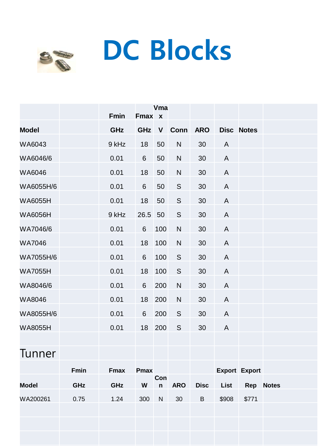## **DC Blocks**



|                |      | Fmin        | Fmax x         | Vma          |              |             |              |                      |  |
|----------------|------|-------------|----------------|--------------|--------------|-------------|--------------|----------------------|--|
| <b>Model</b>   |      | <b>GHz</b>  | GHz            | $\mathsf{V}$ | Conn ARO     |             |              | <b>Disc Notes</b>    |  |
| WA6043         |      | 9 kHz       | 18             | 50           | $\mathsf{N}$ | 30          | $\mathsf{A}$ |                      |  |
| WA6046/6       |      | 0.01        | $6\phantom{1}$ | 50           | ${\sf N}$    | 30          | A            |                      |  |
| WA6046         |      | 0.01        | 18             | 50           | $\mathsf{N}$ | 30          | $\mathsf{A}$ |                      |  |
| WA6055H/6      |      | 0.01        | 6              | 50           | S            | 30          | $\mathsf{A}$ |                      |  |
| <b>WA6055H</b> |      | 0.01        | 18             | 50           | $\mathsf S$  | 30          | A            |                      |  |
| <b>WA6056H</b> |      | 9 kHz       | 26.5           | 50           | $\mathsf S$  | 30          | A            |                      |  |
| WA7046/6       |      | 0.01        | $6\,$          | 100          | $\mathsf{N}$ | 30          | A            |                      |  |
| <b>WA7046</b>  |      | 0.01        | 18             | 100          | $\mathsf{N}$ | 30          | A            |                      |  |
| WA7055H/6      |      | 0.01        | $6\phantom{a}$ | 100          | S            | 30          | $\mathsf{A}$ |                      |  |
| <b>WA7055H</b> |      | 0.01        | 18             | 100          | S            | 30          | A            |                      |  |
| WA8046/6       |      | 0.01        | 6              | 200          | ${\sf N}$    | 30          | A            |                      |  |
| WA8046         |      | 0.01        | 18             | 200          | $\mathsf{N}$ | 30          | $\mathsf{A}$ |                      |  |
| WA8055H/6      |      | 0.01        | $6\phantom{1}$ | 200          | $\mathsf S$  | 30          | A            |                      |  |
| <b>WA8055H</b> |      | 0.01        | 18             | 200          | S            | 30          | A            |                      |  |
|                |      |             |                |              |              |             |              |                      |  |
| Tunner         |      |             |                |              |              |             |              |                      |  |
|                | Fmin | <b>Fmax</b> | <b>Pmax</b>    |              |              |             |              | <b>Export Export</b> |  |
| <b>Model</b>   | GHz  | GHz         | W              | Con<br>n     | <b>ARO</b>   | <b>Disc</b> | List         | Rep Notes            |  |
| WA200261       | 0.75 | 1.24        | 300            | ${\sf N}$    | 30           | $\sf B$     | \$908        | \$771                |  |
|                |      |             |                |              |              |             |              |                      |  |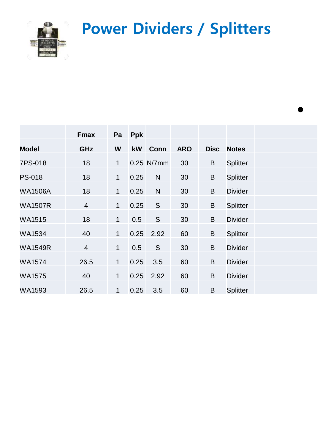**Power Dividers / Splitters**

•



|                | <b>Fmax</b>    | Pa           | Ppk  |               |            |             |                |
|----------------|----------------|--------------|------|---------------|------------|-------------|----------------|
| <b>Model</b>   | GHz            | W            | kW   | Conn          | <b>ARO</b> | <b>Disc</b> | <b>Notes</b>   |
| 7PS-018        | 18             | $\mathbf{1}$ |      | 0.25 N/7mm    | 30         | B           | Splitter       |
| <b>PS-018</b>  | 18             | $\mathbf{1}$ | 0.25 | $\mathsf{N}$  | 30         | B           | Splitter       |
| <b>WA1506A</b> | 18             | $\mathbf{1}$ | 0.25 | N             | 30         | B           | <b>Divider</b> |
| <b>WA1507R</b> | $\overline{4}$ | $\mathbf{1}$ | 0.25 | ${\mathsf S}$ | 30         | B           | Splitter       |
| WA1515         | 18             | $\mathbf{1}$ | 0.5  | S             | 30         | B           | <b>Divider</b> |
| WA1534         | 40             | $\mathbf{1}$ |      | $0.25$ 2.92   | 60         | B           | Splitter       |
| <b>WA1549R</b> | $\overline{4}$ | $\mathbf{1}$ | 0.5  | S             | 30         | B           | <b>Divider</b> |
| <b>WA1574</b>  | 26.5           | $\mathbf{1}$ | 0.25 | 3.5           | 60         | B           | <b>Divider</b> |
| <b>WA1575</b>  | 40             | 1            | 0.25 | 2.92          | 60         | B           | <b>Divider</b> |
| WA1593         | 26.5           | $\mathbf{1}$ | 0.25 | 3.5           | 60         | B           | Splitter       |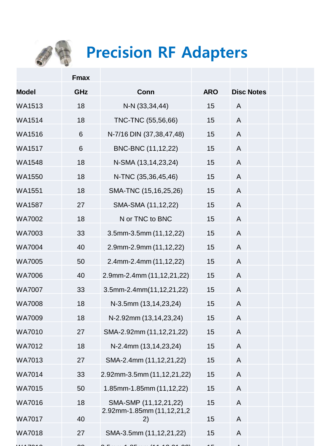

## **Precision RF Adapters**

|               | <b>Fmax</b> |                                   |            |                           |
|---------------|-------------|-----------------------------------|------------|---------------------------|
| <b>Model</b>  | GHz         | Conn                              | <b>ARO</b> | <b>Disc Notes</b>         |
| <b>WA1513</b> | 18          | N-N (33,34,44)                    | 15         | $\mathsf{A}$              |
| <b>WA1514</b> | 18          | TNC-TNC (55,56,66)                | 15         | $\mathsf{A}$              |
| WA1516        | $6\,$       | N-7/16 DIN (37,38,47,48)          | 15         | A                         |
| <b>WA1517</b> | 6           | BNC-BNC (11,12,22)                | 15         | A                         |
| <b>WA1548</b> | 18          | N-SMA (13,14,23,24)               | 15         | $\mathsf{A}$              |
| <b>WA1550</b> | 18          | N-TNC (35,36,45,46)               | 15         | A                         |
| <b>WA1551</b> | 18          | SMA-TNC (15,16,25,26)             | 15         | A                         |
| <b>WA1587</b> | 27          | SMA-SMA (11,12,22)                | 15         | A                         |
| <b>WA7002</b> | 18          | N or TNC to BNC                   | 15         | $\mathsf{A}$              |
| <b>WA7003</b> | 33          | $3.5$ mm- $3.5$ mm $(11, 12, 22)$ | 15         | $\mathsf{A}$              |
| <b>WA7004</b> | 40          | 2.9mm-2.9mm (11,12,22)            | 15         | $\mathsf{A}$              |
| <b>WA7005</b> | 50          | 2.4mm-2.4mm (11,12,22)            | 15         | $\mathsf{A}$              |
| <b>WA7006</b> | 40          | 2.9mm-2.4mm (11,12,21,22)         | 15         | $\mathsf{A}$              |
| <b>WA7007</b> | 33          | 3.5mm-2.4mm(11,12,21,22)          | 15         | $\mathsf{A}$              |
| <b>WA7008</b> | 18          | N-3.5mm (13,14,23,24)             | 15         | $\mathsf{A}$              |
| <b>WA7009</b> | 18          | N-2.92mm (13,14,23,24)            | 15         | A                         |
| <b>WA7010</b> | 27          | SMA-2.92mm (11,12,21,22)          | 15         | A                         |
| <b>WA7012</b> | 18          | N-2.4mm (13,14,23,24)             | 15         | A                         |
| <b>WA7013</b> | 27          | SMA-2.4mm (11,12,21,22)           | 15         | A                         |
| <b>WA7014</b> | 33          | 2.92mm-3.5mm (11,12,21,22)        | 15         | $\boldsymbol{\mathsf{A}}$ |
| <b>WA7015</b> | 50          | 1.85mm-1.85mm (11,12,22)          | 15         | A                         |
| <b>WA7016</b> | 18          | SMA-SMP (11,12,21,22)             | 15         | $\mathsf{A}$              |
| <b>WA7017</b> | 40          | 2.92mm-1.85mm (11,12,21,2<br>2)   | 15         | A                         |
| <b>WA7018</b> | 27          | SMA-3.5mm (11,12,21,22)           | 15         | A                         |
|               |             |                                   |            |                           |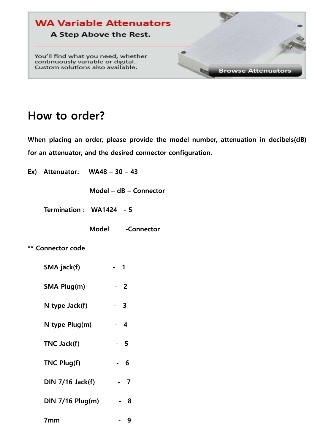

#### **How to order?**

**When placing an order, please provide the model number, attenuation in decibels(dB) for an attenuator, and the desired connector configuration.**

| Ex) Attenuator: $WA48 - 30 - 43$ |      |                        |
|----------------------------------|------|------------------------|
|                                  |      | Model - dB - Connector |
| Termination: WA1424 - 5          |      |                        |
|                                  |      | Model -Connector       |
| ** Connector code                |      |                        |
| SMA jack(f)                      | - 1  |                        |
| SMA Plug(m)                      |      | $-2$                   |
| N type $Jack(f)$                 |      | $-3$                   |
| N type Plug(m)                   | $-4$ |                        |
| TNC Jack(f)                      |      | $-5$                   |
| <b>TNC Plug(f)</b>               |      | - 6                    |
| $DIN 7/16$ Jack(f)               |      | $-7$                   |
| $DIN$ 7/16 $Plug(m)$             |      | - 8                    |
| 7mm                              |      | 9                      |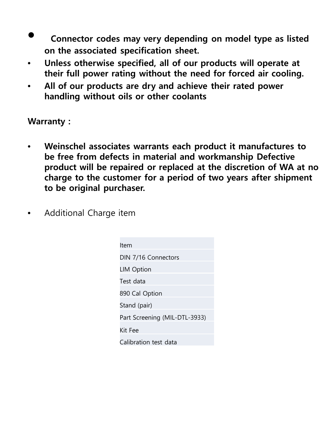- **Connector codes may very depending on model type as listed**  Connector codes may very dependir<br>.on the associated specification sheet
- **Unless otherwise specified, all of our products will operate at their full power rating without the need for forced air cooling.**
- **All of our products are dry and achieve their rated power handling without oils or other coolants**

#### **Warranty :**

- **Weinschel associates warrants each product it manufactures to be free from defects in material and workmanship Defective product will be repaired or replaced at the discretion of WA at no charge to the customer for a period of two years after shipment to be original purchaser.**
- Additional Charge item

| ltem                          |
|-------------------------------|
| DIN 7/16 Connectors           |
| <b>LIM Option</b>             |
| Test data                     |
| 890 Cal Option                |
| Stand (pair)                  |
| Part Screening (MIL-DTL-3933) |
| Kit Fee                       |
| Calibration test data         |